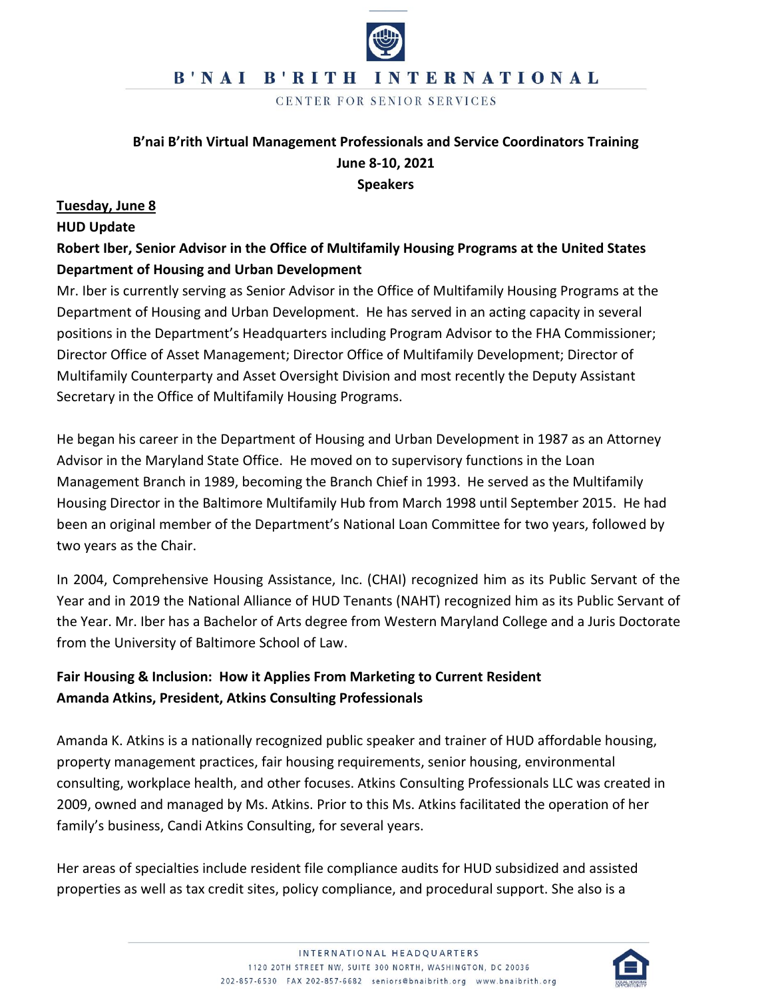# B'NAI B'RITH INTERNATIONAL

CENTER FOR SENIOR SERVICES

# **B'nai B'rith Virtual Management Professionals and Service Coordinators Training June 8-10, 2021**

**Speakers**

#### **Tuesday, June 8**

#### **HUD Update**

# **Robert Iber, Senior Advisor in the Office of Multifamily Housing Programs at the United States Department of Housing and Urban Development**

Mr. Iber is currently serving as Senior Advisor in the Office of Multifamily Housing Programs at the Department of Housing and Urban Development. He has served in an acting capacity in several positions in the Department's Headquarters including Program Advisor to the FHA Commissioner; Director Office of Asset Management; Director Office of Multifamily Development; Director of Multifamily Counterparty and Asset Oversight Division and most recently the Deputy Assistant Secretary in the Office of Multifamily Housing Programs.

He began his career in the Department of Housing and Urban Development in 1987 as an Attorney Advisor in the Maryland State Office. He moved on to supervisory functions in the Loan Management Branch in 1989, becoming the Branch Chief in 1993. He served as the Multifamily Housing Director in the Baltimore Multifamily Hub from March 1998 until September 2015. He had been an original member of the Department's National Loan Committee for two years, followed by two years as the Chair.

In 2004, Comprehensive Housing Assistance, Inc. (CHAI) recognized him as its Public Servant of the Year and in 2019 the National Alliance of HUD Tenants (NAHT) recognized him as its Public Servant of the Year. Mr. Iber has a Bachelor of Arts degree from Western Maryland College and a Juris Doctorate from the University of Baltimore School of Law.

# **Fair Housing & Inclusion: How it Applies From Marketing to Current Resident Amanda Atkins, President, Atkins Consulting Professionals**

Amanda K. Atkins is a nationally recognized public speaker and trainer of HUD affordable housing, property management practices, fair housing requirements, senior housing, environmental consulting, workplace health, and other focuses. Atkins Consulting Professionals LLC was created in 2009, owned and managed by Ms. Atkins. Prior to this Ms. Atkins facilitated the operation of her family's business, Candi Atkins Consulting, for several years.

Her areas of specialties include resident file compliance audits for HUD subsidized and assisted properties as well as tax credit sites, policy compliance, and procedural support. She also is a

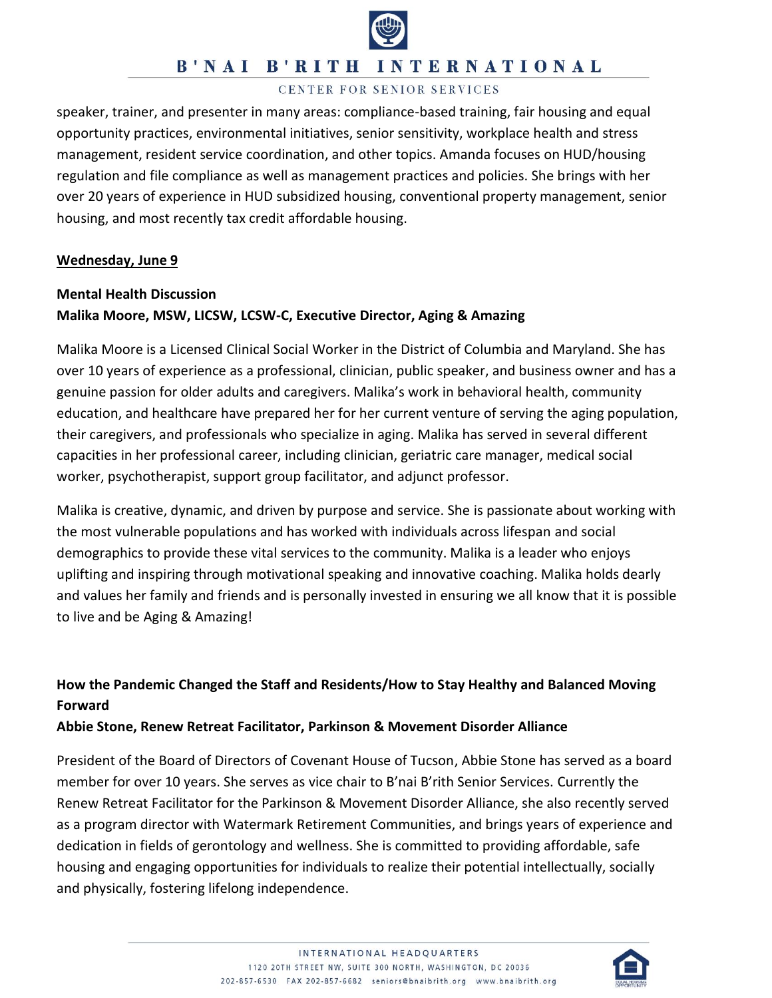

### **B'NAI B'RITH INTERNATIONAL**

#### CENTER FOR SENIOR SERVICES

speaker, trainer, and presenter in many areas: compliance-based training, fair housing and equal opportunity practices, environmental initiatives, senior sensitivity, workplace health and stress management, resident service coordination, and other topics. Amanda focuses on HUD/housing regulation and file compliance as well as management practices and policies. She brings with her over 20 years of experience in HUD subsidized housing, conventional property management, senior housing, and most recently tax credit affordable housing.

#### **Wednesday, June 9**

# **Mental Health Discussion Malika Moore, MSW, LICSW, LCSW-C, Executive Director, Aging & Amazing**

Malika Moore is a Licensed Clinical Social Worker in the District of Columbia and Maryland. She has over 10 years of experience as a professional, clinician, public speaker, and business owner and has a genuine passion for older adults and caregivers. Malika's work in behavioral health, community education, and healthcare have prepared her for her current venture of serving the aging population, their caregivers, and professionals who specialize in aging. Malika has served in several different capacities in her professional career, including clinician, geriatric care manager, medical social worker, psychotherapist, support group facilitator, and adjunct professor.

Malika is creative, dynamic, and driven by purpose and service. She is passionate about working with the most vulnerable populations and has worked with individuals across lifespan and social demographics to provide these vital services to the community. Malika is a leader who enjoys uplifting and inspiring through motivational speaking and innovative coaching. Malika holds dearly and values her family and friends and is personally invested in ensuring we all know that it is possible to live and be Aging & Amazing!

# **How the Pandemic Changed the Staff and Residents/How to Stay Healthy and Balanced Moving Forward**

### **Abbie Stone, Renew Retreat Facilitator, Parkinson & Movement Disorder Alliance**

President of the Board of Directors of Covenant House of Tucson, Abbie Stone has served as a board member for over 10 years. She serves as vice chair to B'nai B'rith Senior Services. Currently the Renew Retreat Facilitator for the Parkinson & Movement Disorder Alliance, she also recently served as a program director with Watermark Retirement Communities, and brings years of experience and dedication in fields of gerontology and wellness. She is committed to providing affordable, safe housing and engaging opportunities for individuals to realize their potential intellectually, socially and physically, fostering lifelong independence.

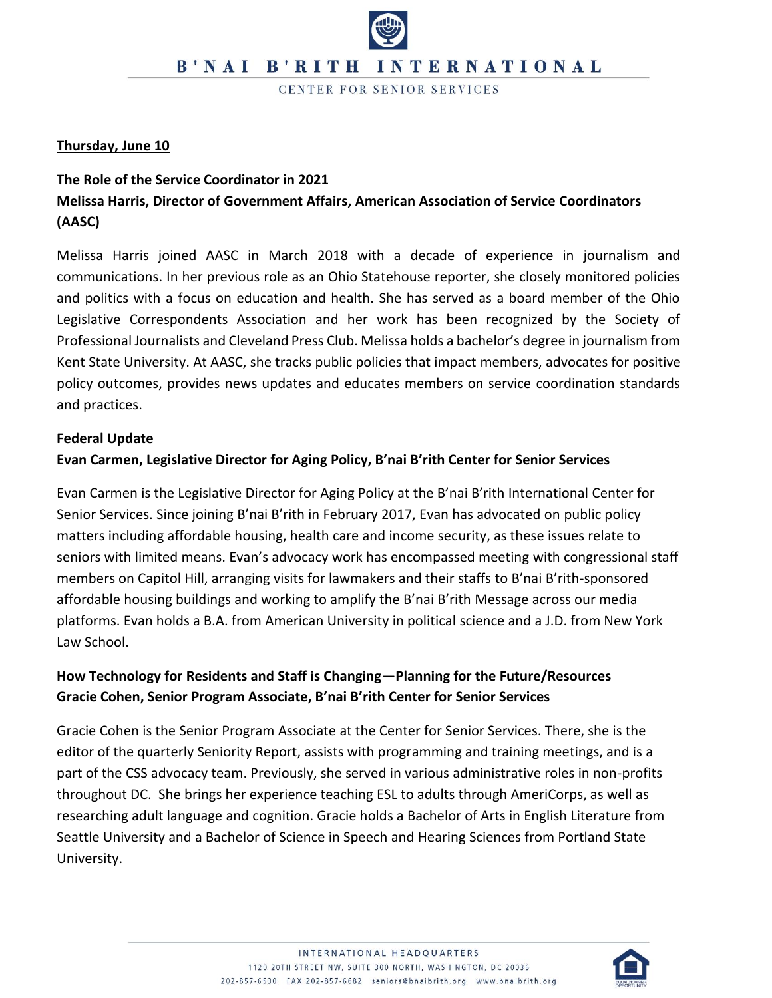CENTER FOR SENIOR SERVICES

### **Thursday, June 10**

# **The Role of the Service Coordinator in 2021 Melissa Harris, Director of Government Affairs, American Association of Service Coordinators (AASC)**

Melissa Harris joined AASC in March 2018 with a decade of experience in journalism and communications. In her previous role as an Ohio Statehouse reporter, she closely monitored policies and politics with a focus on education and health. She has served as a board member of the Ohio Legislative Correspondents Association and her work has been recognized by the Society of Professional Journalists and Cleveland Press Club. Melissa holds a bachelor's degree in journalism from Kent State University. At AASC, she tracks public policies that impact members, advocates for positive policy outcomes, provides news updates and educates members on service coordination standards and practices.

#### **Federal Update**

### **Evan Carmen, Legislative Director for Aging Policy, B'nai B'rith Center for Senior Services**

Evan Carmen is the Legislative Director for Aging Policy at the B'nai B'rith International Center for Senior Services. Since joining B'nai B'rith in February 2017, Evan has advocated on public policy matters including affordable housing, health care and income security, as these issues relate to seniors with limited means. Evan's advocacy work has encompassed meeting with congressional staff members on Capitol Hill, arranging visits for lawmakers and their staffs to B'nai B'rith-sponsored affordable housing buildings and working to amplify the B'nai B'rith Message across our media platforms. Evan holds a B.A. from American University in political science and a J.D. from New York Law School.

# **How Technology for Residents and Staff is Changing—Planning for the Future/Resources Gracie Cohen, Senior Program Associate, B'nai B'rith Center for Senior Services**

Gracie Cohen is the Senior Program Associate at the Center for Senior Services. There, she is the editor of the quarterly Seniority Report, assists with programming and training meetings, and is a part of the CSS advocacy team. Previously, she served in various administrative roles in non-profits throughout DC. She brings her experience teaching ESL to adults through AmeriCorps, as well as researching adult language and cognition. Gracie holds a Bachelor of Arts in English Literature from Seattle University and a Bachelor of Science in Speech and Hearing Sciences from Portland State University.